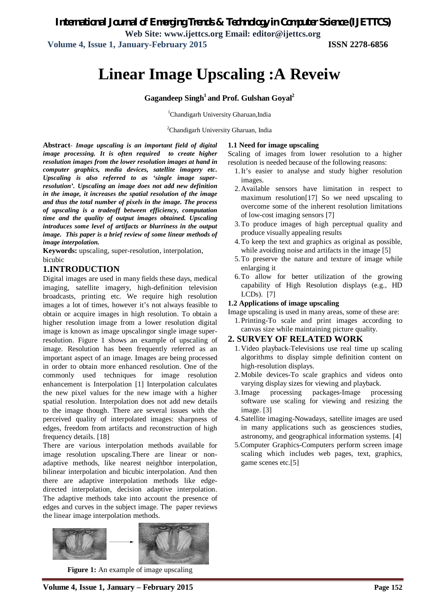**Volume 4, Issue 1, January-February 2015 ISSN 2278-6856**

# **Linear Image Upscaling :A Reveiw**

### **Gagandeep Singh<sup>1</sup>and Prof. Gulshan Goyal<sup>2</sup>**

<sup>1</sup>Chandigarh University Gharuan, India

<sup>2</sup>Chandigarh University Gharuan, India

**Abstract***- Image upscaling is an important field of digital image processing. It is often required to create higher resolution images from the lower resolution images at hand in computer graphics, media devices, satellite imagery etc. Upscaling is also referred to as 'single image superresolution'. Upscaling an image does not add new definition in the image, it increases the spatial resolution of the image and thus the total number of pixels in the image. The process of upscaling is a tradeoff between efficiency, computation time and the quality of output images obtained. Upscaling introduces some level of artifacts or blurriness in the output image. This paper is a brief review of some linear methods of image interpolation.*

**Keywords:** upscaling, super-resolution, interpolation, bicubic

#### **1.INTRODUCTION**

Digital images are used in many fields these days, medical imaging, satellite imagery, high-definition television broadcasts, printing etc. We require high resolution images a lot of times, however it's not always feasible to obtain or acquire images in high resolution. To obtain a higher resolution image from a lower resolution digital image is known as image upscalingor single image superresolution. Figure 1 shows an example of upscaling of image. Resolution has been frequently referred as an important aspect of an image. Images are being processed in order to obtain more enhanced resolution. One of the commonly used techniques for image resolution enhancement is Interpolation [1] Interpolation calculates the new pixel values for the new image with a higher spatial resolution. Interpolation does not add new details to the image though. There are several issues with the perceived quality of interpolated images: sharpness of edges, freedom from artifacts and reconstruction of high frequency details. [18]

There are various interpolation methods available for image resolution upscaling.There are linear or nonadaptive methods, like nearest neighbor interpolation, bilinear interpolation and bicubic interpolation. And then there are adaptive interpolation methods like edgedirected interpolation, decision adaptive interpolation. The adaptive methods take into account the presence of edges and curves in the subject image. The paper reviews the linear image interpolation methods.



**Figure 1:** An example of image upscaling

#### **1.1 Need for image upscaling**

Scaling of images from lower resolution to a higher resolution is needed because of the following reasons:

- 1.It's easier to analyse and study higher resolution images.
- 2.Available sensors have limitation in respect to maximum resolution[17] So we need upscaling to overcome some of the inherent resolution limitations of low-cost imaging sensors [7]
- 3.To produce images of high perceptual quality and produce visually appealing results
- 4.To keep the text and graphics as original as possible, while avoiding noise and artifacts in the image [5]
- 5.To preserve the nature and texture of image while enlarging it
- 6.To allow for better utilization of the growing capability of High Resolution displays (e.g., HD LCDs). [7]

#### **1.2 Applications of image upscaling**

Image upscaling is used in many areas, some of these are:

1.Printing-To scale and print images according to canvas size while maintaining picture quality.

#### **2. SURVEY OF RELATED WORK**

- 1.Video playback-Televisions use real time up scaling algorithms to display simple definition content on high-resolution displays.
- 2.Mobile devices-To scale graphics and videos onto varying display sizes for viewing and playback.
- 3.Image processing packages-Image processing software use scaling for viewing and resizing the image. [3]
- 4.Satellite imaging-Nowadays, satellite images are used in many applications such as geosciences studies, astronomy, and geographical information systems. [4]
- 5.Computer Graphics-Computers perform screen image scaling which includes web pages, text, graphics, game scenes etc.[5]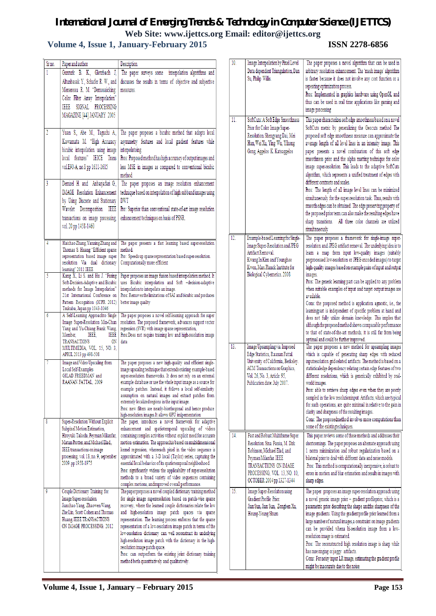## *International Journal of Emerging Trends & Technology in Computer Science (IJETTCS)*

**Web Site: www.ijettcs.org Email: editor@ijettcs.org** 

## **Volume 4, Issue 1, January-February** 2015 **ISSN 2278-6856**

| Sr no. | Paper and author                                                                                                                                                                                                                       | Description                                                                                                                                                                                                                                                                                                                                                                                                                                                                                                                                                                                                                                                              |
|--------|----------------------------------------------------------------------------------------------------------------------------------------------------------------------------------------------------------------------------------------|--------------------------------------------------------------------------------------------------------------------------------------------------------------------------------------------------------------------------------------------------------------------------------------------------------------------------------------------------------------------------------------------------------------------------------------------------------------------------------------------------------------------------------------------------------------------------------------------------------------------------------------------------------------------------|
| 1      | Gunturk B. K., Glotzbach<br>J,<br>Altunbasak Y., Schafer R. W., and<br>Mersereau R. M. "Demosaicking:<br>Color Filter Array Interpolation"<br>SIGNAL PROCESSING<br>1988<br>MAGAZINE [44] JANUARY 2005                                  | The paper surveys some<br>interpolation algorithms and<br>discusses the results in terms of objective and subjective<br>measures.                                                                                                                                                                                                                                                                                                                                                                                                                                                                                                                                        |
| 2      | Yuan S., Abe M., Taguchi A.,<br>Kawamata M. "High Accuracy<br>bicubic interpolation using image<br>local features" IEICE Trans<br>vol.E90-A, no.8 pp 1611-1615                                                                         | The paper proposes a bicubic method that adopts local<br>asymmetry features and local gradient features while<br>interpolatoing.<br>Pros: Proposed method has high accuracy of output images and<br>less MSE in images as compared to conventional bicubic<br>method.                                                                                                                                                                                                                                                                                                                                                                                                    |
| 3      | Demirel H. and Anbarjafari G.,<br><b>IMAGE</b> Resolution Enhancement<br>by Using Discrete and Stationary<br>Wavelet Decomposition.<br>IEEE<br>transactions on image processing,<br>vol. 20 pp 1458-1460                               | The paper proposes an image resolution enhancement<br>technique based on interpolation of high subband images using<br>DWT<br>Pro: Superior than conventional state-of-art image resolution<br>enhancement techniques on basis of PSNR.                                                                                                                                                                                                                                                                                                                                                                                                                                  |
| 4      | Haichao Zhang, Yanning Zhang and<br>Thomas S. Huang "Efficient sparse<br>representation based image super<br>resolution Via dual dictionary<br>leaming" 2011 IEEE                                                                      | The paper presents a fast learning based super-resolution<br>method.<br>Pro: Speeds up sparse representation based super-resolution.<br>Computationally more efficient                                                                                                                                                                                                                                                                                                                                                                                                                                                                                                   |
| 5      | Kang X., Li S. and Hu J. "Fusing<br>Soft-Decision-Adaptive and Bicubic<br>methods for Image Interpolation"<br>21st International Conference on<br>Pattem Recognition (ICPR 2012)<br>Tsukuba, Japan pp 1043-1046                        | Paper proposes an image fusion based interpolation method. It<br>uses Bicubic interpolation and Soft -decision-adaptive<br>interpolation to interpolate an image.<br>Pros: Removes the limitations of SAI and bicubic and produces<br>better image quality                                                                                                                                                                                                                                                                                                                                                                                                               |
| 6      | A Self-Leaming Approachto Single<br>Image Super-Resolution Min-Chun<br>Yang and Yu-Chiang Frank Wang,<br>IEEE<br>Member.<br>IEEE.<br>TRANSACTIONS<br>0N<br>MULTIMEDIA, VOL. 15, NO. 3,<br>APRIL 2013 pp 498-508                        | The paper proposes a novel self-leaming approach for super<br>resolution. The proposed framework, advances support vector<br>regression (SVR) with image sparse representation,<br>Pros:Does not require training low and high-resolution image<br>data                                                                                                                                                                                                                                                                                                                                                                                                                  |
|        | Image and Video Upscaling from<br>Local Self-Examples<br>GILAD FREEDMAN and<br>RAANAN FATTAL, 2009                                                                                                                                     | The paper proposes a new high-quality and efficient single-<br>image upscaling technique that extends existing example-based<br>super-resolution frameworks. It does not rely on an extemal<br>example database or use the whole input image as a source for<br>example patches. Instead, it follows a local self-similarity<br>assumption on natural images and extract patches from<br>extremely localized regions in the input image.<br>Pros: new filters are nearly-biorthogonal and hence produce<br>high-resolution images.It allows GPU imlpementation                                                                                                           |
| 8      | Super-Resolution Without Explicit<br>Subpixel Motion Estimation,<br>Hiroyuki Takeda, Peyman Milanfar,<br>Matan Protter, and Michael Elad,,<br>IEEE transactions on image<br>processing, vol. 18, no. 9, september<br>2009.pp 1958-1975 | The paper, introduces a novel framework for adaptive<br>enhancement and spatiotemporal upscaling of videos<br>containing complex activities without explicit need for accurate<br>motion estimation. The approachis based on multidimensional<br>kemel regression, whereeach pixel in the video sequence is<br>approximated with a 3-D local (Taylor) series, capturing the<br>essential local behavior of its spatiotemporal neighborhood.<br>Pros: significantly widens the applicability of super-resolution<br>methods to a broad variety of video sequences containing<br>complex motions, andimproved overall performance.                                         |
| 9      | Couple Dictionary Training for<br>Image Super-resolution<br>Jianchao Yang, Zhaowen Wang,<br>Zhe Lin, Scott Cohen and Thomas<br>Huang, IEEE TRANSACTIONS<br>ON IMAGE PROCESSING. 2012                                                   | The paper proposes a novel coupled dictionary training method<br>for single image superresolution based on patch-wise sparse<br>recovery, where the learned couple dictionaries relate the low<br>and high-resolution image patch spaces via sparse<br>representation. The learning process enforces that the sparse<br>representation of a low-resolution image patch in terms of the<br>low-resolution dictionary can well reconstruct its underlying<br>high-resolution image patch with the dictionary in the high-<br>resolution image patch space.<br>Pros: can outperform the existing joint dictionary training<br>method both quantitatively and qualitatively. |

| 10. | Image Interpolation by Pixel Level<br>Data dependent Triangulation, Dan<br>Su, Philip Willis.                                                                                                                      | The paper proposes a novel algorithm that can be used in<br>arbitrary resolution enhancement. The 'mesh image' algorithm<br>is faster because it does not involve any cost function or a<br>repeating optimization process.<br>Pros: Implemented in graphics hardware using OpenGL and<br>thus can be used in real time applications like gaming and<br>image processing                                                                                                                                                                                                                                                                                                                                                                                                                                                                                                                              |
|-----|--------------------------------------------------------------------------------------------------------------------------------------------------------------------------------------------------------------------|-------------------------------------------------------------------------------------------------------------------------------------------------------------------------------------------------------------------------------------------------------------------------------------------------------------------------------------------------------------------------------------------------------------------------------------------------------------------------------------------------------------------------------------------------------------------------------------------------------------------------------------------------------------------------------------------------------------------------------------------------------------------------------------------------------------------------------------------------------------------------------------------------------|
| 11. | SoftCuts: A Soft Edge Smoothness<br>Prior for Color Image Super-<br>Resolution. Shengyang Dai, Mei<br>Han, Wei Xu, Ying Wu, Yihong<br>Gong, Aggelos K. Katsaggelos                                                 | This paper characterizes soft edge smoothness based on a novel<br>SoftCuts metric by generalizing the Geocuts method The<br>proposed soft edge smoothness measure can approximate the<br>average length of all level lines in an intensity image. This<br>paper presents a novel combination of this soft edge<br>smoothness prior and the alpha matting technique for color<br>image super-resolution. This leads to the adaptive SoftCuts<br>algorithm, which represents a unified treatment of edges with<br>different contrasts and scales.<br>Pros: The length of all image level lines can be minimized<br>simultaneously for the super-resolution task. Thus, results with<br>smooth edges can be obtained. The edge preserving property of<br>the proposed prior term can also make the resulting edges have<br>sharp transitions.<br>All three color channels are utilized<br>simultaneously |
| 12. | Example-based Learning for Single-<br>Image Super-Resolution and JPEG<br>Artifact Removal.<br>Kwang In Kim and Younghee<br>Kwon, Max Planck Institute for<br>Biological Cybemetics. 2008                           | The paper proposes a framework for single-image super-<br>resolution and JPEG artifact removal. The underlying idea is to<br>leam a map from input low-quality images (suitably<br>preprocessed low-resolution or JPEG encoded images) to target<br>high-quality images based on example pairs of input and output<br>images.<br>Pros: The generic learning part can be applied to any problem<br>when suitable examples of input and target output images are<br>available.<br>Cons: the proposed method is application agnostic, i.e., the<br>learningpart is independent of specific problem at hand and<br>does not fully utilize domain knowledge. This implies that<br>although the proposed method shows comparable performance<br>to that of state-of-the-art methods, it is still far from being<br>optimal and could be further improved.                                                   |
| 13. | Image Upsampling via Imposed<br>Edge Statistics, Raanan Fattal.<br>University of California, Berkeley.<br>ACM Transactions on Graphics,<br>Vol. 26, No. 3, Article 95,<br>Publication date: July 2007.             | The paper proposes a new method for upsampling images<br>which is capable of generating sharp edges with reduced<br>inputresolution grid-related artifacts. The method is based on a<br>statisticaledge dependency relating certain edge features of two<br>different resolutions, which is generically exhibited by real-<br>world images.<br>Pros: able to retrieve sharp edges even when they are poorly<br>sampled in the low resolutioninput. Artifacts, which are typical<br>for such operations, are quite minimal in relative to the gain in<br>clarity and sharpness of the resulting images.<br>Cons: The proposedmethod involves more computations than<br>some of the existingtechniques.                                                                                                                                                                                                 |
| 14. | Fast and Robust Multiframe Super<br>Resolution. Sina Farsiu, M. Dirk<br>Robinson, Michael Elad, and<br>Peyman Milanfar, IEEE<br>TRANSACTIONS ON IMAGE<br>PROCESSING, VOL. 13, NO. 10,<br>OCTOBER 2004 pp 1327-1344 | This paper reviews some of these methods and addresses their<br>shortcomings. The paper proposes an alternate approach using<br>1 norm minimization and robust regularization based on a<br>bilateral prior to deal with different data and noise models.<br>Pros: This method is computationally inexpensive, is robust to<br>errors in motion and blur estimation and results in images with<br>sharp edges.                                                                                                                                                                                                                                                                                                                                                                                                                                                                                        |
| 15. | Image Super-Resolution using<br>Gradient Profile Prior.<br>Jian Sun, Jian Sun, Zongben Xu,<br>Heung-Yeung Shum                                                                                                     | The paper proposes an image super-resolution approach using<br>a novel generic image prior - gradient profileprior, which is a<br>parametric prior describing the shape andthe sharpness of the<br>image gradients. Using the gradientprofile prior learned from a<br>large number of natural images, a constraint on image gradients<br>can be provided whena hi-resolution image from a low-<br>resolution image is estimated.<br>Pros: The reconstructed high resolution image is sharp while<br>has rare ringing or jaggy artifacts.<br>Cons: For noisy input LR image, estimating the gradient profile<br>might be inaccurate due to the noise                                                                                                                                                                                                                                                   |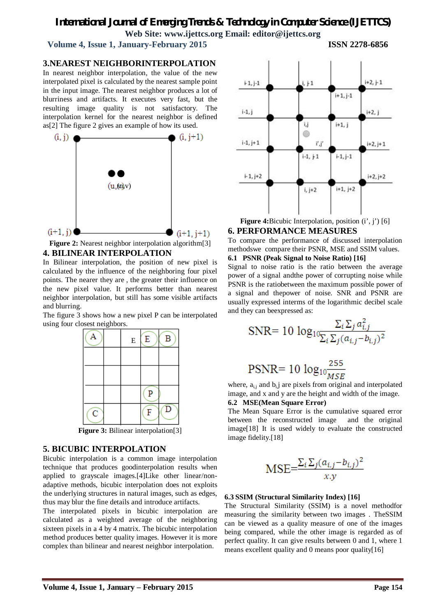## *International Journal of Emerging Trends & Technology in Computer Science (IJETTCS)* **Web Site: www.ijettcs.org Email: editor@ijettcs.org**

 **Volume 4, Issue 1, January-February 2015 ISSN 2278-6856**

#### **3.NEAREST NEIGHBORINTERPOLATION**

In nearest neighbor interpolation, the value of the new interpolated pixel is calculated by the nearest sample point in the input image. The nearest neighbor produces a lot of blurriness and artifacts. It executes very fast, but the resulting image quality is not satisfactory. The interpolation kernel for the nearest neighbor is defined as[2] The figure 2 gives an example of how its used.



**Figure 2:** Nearest neighbor interpolation algorithm<sup>[3]</sup> **4. BILINEAR INTERPOLATION**

In Bilinear interpolation, the position of new pixel is calculated by the influence of the neighboring four pixel points. The nearer they are , the greater their influence on the new pixel value. It performs better than nearest neighbor interpolation, but still has some visible artifacts and blurring.

The figure 3 shows how a new pixel P can be interpolated using four closest neighbors.



## **5. BICUBIC INTERPOLATION**

Bicubic interpolation is a common image interpolation technique that produces goodinterpolation results when applied to grayscale images.[4]Like other linear/nonadaptive methods, bicubic interpolation does not exploits the underlying structures in natural images, such as edges, thus may blur the fine details and introduce artifacts.

The interpolated pixels in bicubic interpolation are calculated as a weighted average of the neighboring sixteen pixels in a 4 by 4 matrix. The bicubic interpolation method produces better quality images. However it is more complex than bilinear and nearest neighbor interpolation.



**Figure 4:**Bicubic Interpolation, position (i', j') [6] **6. PERFORMANCE MEASURES**

To compare the performance of discussed interpolation methodswe compare their PSNR, MSE and SSIM values.

#### **6.1 PSNR (Peak Signal to Noise Ratio) [16]**

Signal to noise ratio is the ratio between the average power of a signal andthe power of corrupting noise while PSNR is the ratiobetween the maximum possible power of a signal and thepower of noise. SNR and PSNR are usually expressed interms of the logarithmic decibel scale and they can beexpressed as:

$$
\text{SNR} = 10 \log_{10} \frac{\Sigma_i \Sigma_j a_{i,j}^2}{\Sigma_i \Sigma_j (a_{i,j} - b_{i,j})^2}
$$

$$
PSNR = 10 \log_{10} \frac{255}{MSE}
$$

where,  $a_{i,j}$  and  $b_{i,j}$  are pixels from original and interpolated image, and x and y are the height and width of the image.

**6.2 MSE(Mean Square Error)**

The Mean Square Error is the cumulative squared error between the reconstructed image and the original image[18] It is used widely to evaluate the constructed image fidelity.[18]

$$
\text{MSE} = \frac{\sum_{i} \sum_{j} (a_{i,j} - b_{i,j})^2}{x.y}
$$

#### **6.3 SSIM (Structural Similarity Index) [16]**

The Structural Similarity (SSIM) is a novel methodfor measuring the similarity between two images . TheSSIM can be viewed as a quality measure of one of the images being compared, while the other image is regarded as of perfect quality. It can give results between 0 and 1, where 1 means excellent quality and 0 means poor quality[16]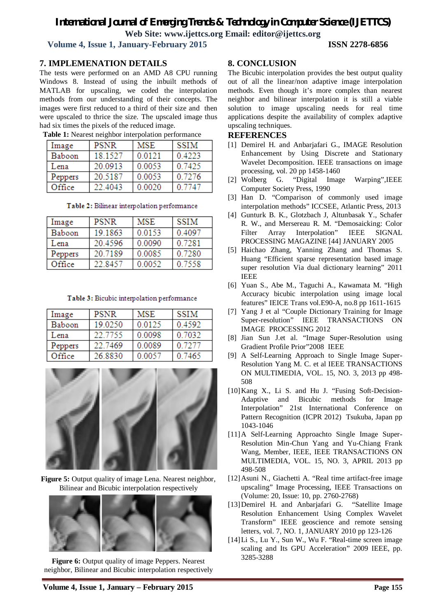## *International Journal of Emerging Trends & Technology in Computer Science (IJETTCS)*

**Web Site: www.ijettcs.org Email: editor@ijettcs.org** 

 **Volume 4, Issue 1, January-February 2015 ISSN 2278-6856**

#### **7. IMPLEMENATION DETAILS**

The tests were performed on an AMD A8 CPU running Windows 8. Instead of using the inbuilt methods of MATLAB for upscaling, we coded the interpolation methods from our understanding of their concepts. The images were first reduced to a third of their size and then were upscaled to thrice the size. The upscaled image thus had six times the pixels of the reduced image.

| Image   | <b>PSNR</b> | <b>MSE</b> | <b>SSIM</b> |
|---------|-------------|------------|-------------|
| Baboon  | 18.1527     | 0.0121     | 0.4223      |
| Lena    | 20.0913     | 0.0053     | 0.7425      |
| Peppers | 20.5187     | 0.0053     | 0.7276      |
| Office  | 22.4043     | 0.0020     | 0.7747      |

#### **Table 1:** Nearest neighbor interpolation performance

## Table 2: Bilinear interpolation performance

| Image   | <b>PSNR</b> | <b>MSE</b> | <b>SSIM</b> |
|---------|-------------|------------|-------------|
| Baboon  | 19.1863     | 0.0153     | 0.4097      |
| Lena    | 20.4596     | 0.0090     | 0.7281      |
| Peppers | 20.7189     | 0.0085     | 0.7280      |
| Office  | 22 8457     | 0.0052     | 0.7558      |

#### Table 3: Bicubic interpolation performance

| Image   | PSNR    | MSE    | SSIM   |
|---------|---------|--------|--------|
| Baboon  | 19.0250 | 0.0125 | 0.4592 |
| Lena    | 22.7755 | 0.0098 | 0.7032 |
| Peppers | 22.7469 | 0.0089 | 0.7277 |
| Office  | 26.8830 | 0.0057 | 0.7465 |



**Figure 5:** Output quality of image Lena. Nearest neighbor, Bilinear and Bicubic interpolation respectively



**Figure 6:** Output quality of image Peppers. Nearest neighbor, Bilinear and Bicubic interpolation respectively

#### **8. CONCLUSION**

The Bicubic interpolation provides the best output quality out of all the linear/non adaptive image interpolation methods. Even though it's more complex than nearest neighbor and bilinear interpolation it is still a viable solution to image upscaling needs for real time applications despite the availability of complex adaptive upscaling techniques.

#### **REFERENCES**

- [1] Demirel H. and Anbarjafari G., IMAGE Resolution Enhancement by Using Discrete and Stationary Wavelet Decomposition. IEEE transactions on image processing, vol. 20 pp 1458-1460
- [2] Wolberg G. "Digital Image Warping",IEEE Computer Society Press, 1990
- [3] Han D. "Comparison of commonly used image interpolation methods" ICCSEE, Atlantic Press, 2013
- [4] Gunturk B. K., Glotzbach J, Altunbasak Y., Schafer R. W., and Mersereau R. M. "Demosaicking: Color Filter Array Interpolation" IEEE SIGNAL PROCESSING MAGAZINE [44] JANUARY 2005
- [5] Haichao Zhang, Yanning Zhang and Thomas S. Huang "Efficient sparse representation based image super resolution Via dual dictionary learning" 2011 IEEE
- [6] Yuan S., Abe M., Taguchi A., Kawamata M. "High Accuracy bicubic interpolation using image local features" IEICE Trans vol.E90-A, no.8 pp 1611-1615
- [7] Yang J et al "Couple Dictionary Training for Image Super-resolution" IEEE TRANSACTIONS ON IMAGE PROCESSING 2012
- [8] Jian Sun J.et al. "Image Super-Resolution using Gradient Profile Prior"2008 IEEE
- [9] A Self-Learning Approach to Single Image Super-Resolution Yang M. C. et al IEEE TRANSACTIONS ON MULTIMEDIA, VOL. 15, NO. 3, 2013 pp 498- 508
- [10]Kang X., Li S. and Hu J. "Fusing Soft-Decision-Adaptive and Bicubic methods for Image Interpolation" 21st International Conference on Pattern Recognition (ICPR 2012) Tsukuba, Japan pp 1043-1046
- [11]A Self-Learning Approachto Single Image Super-Resolution Min-Chun Yang and Yu-Chiang Frank Wang, Member, IEEE, IEEE TRANSACTIONS ON MULTIMEDIA, VOL. 15, NO. 3, APRIL 2013 pp 498-508
- [12]Asuni N., Giachetti A. "Real time artifact-free image upscaling" Image Processing, IEEE Transactions on (Volume: 20, Issue: 10, pp. 2760-2768)
- [13]Demirel H. and Anbarjafari G. "Satellite Image Resolution Enhancement Using Complex Wavelet Transform" IEEE geoscience and remote sensing letters, vol. 7, NO. 1, JANUARY 2010 pp 123-126
- [14]Li S., Lu Y., Sun W., Wu F. "Real-time screen image scaling and Its GPU Acceleration" 2009 IEEE, pp. 3285-3288